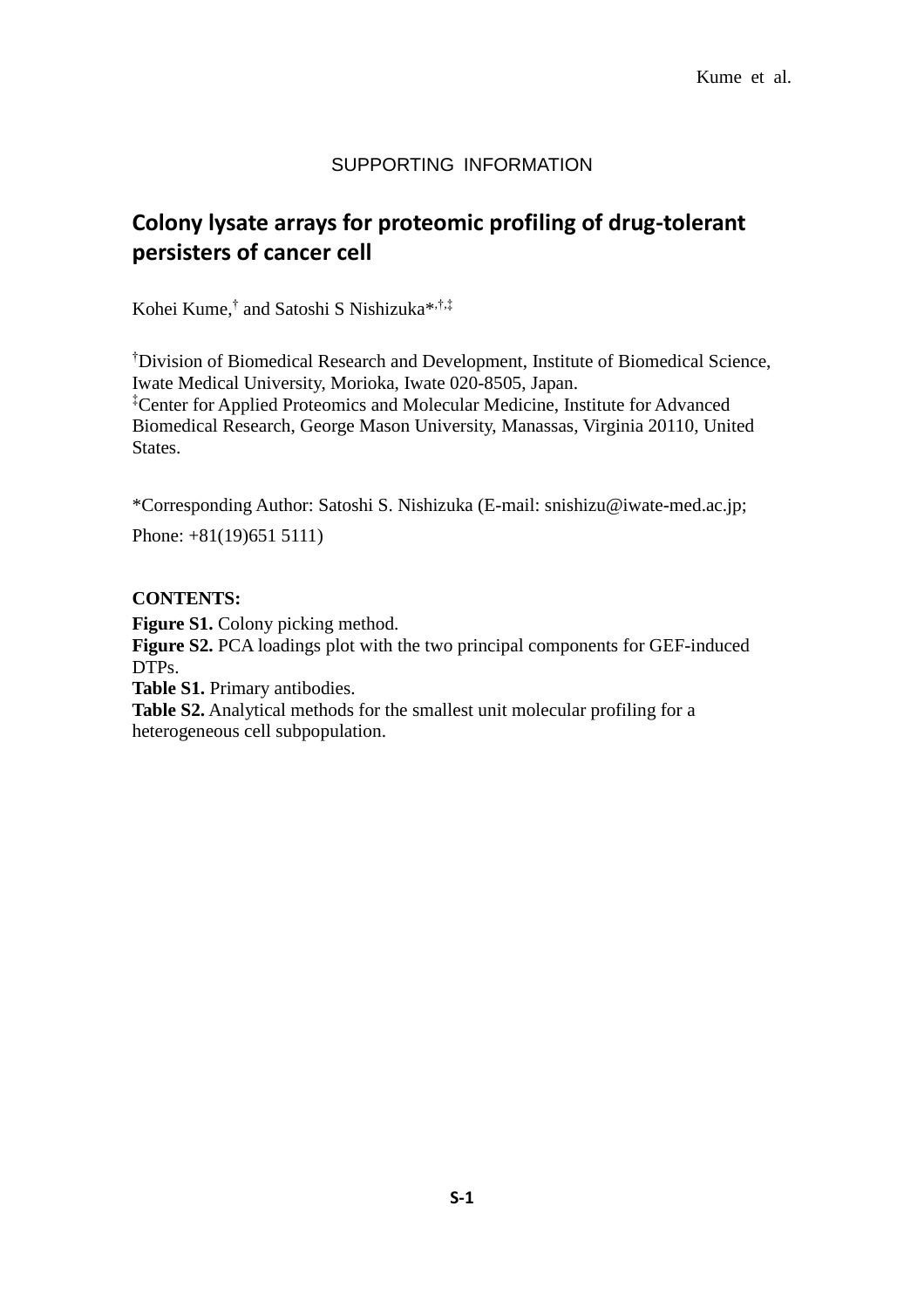### SUPPORTING INFORMATION

# **Colony lysate arrays for proteomic profiling of drug-tolerant persisters of cancer cell**

Kohei Kume,<sup>†</sup> and Satoshi S Nishizuka<sup>\*,†,‡</sup>

†Division of Biomedical Research and Development, Institute of Biomedical Science, Iwate Medical University, Morioka, Iwate 020-8505, Japan. ‡Center for Applied Proteomics and Molecular Medicine, Institute for Advanced Biomedical Research, George Mason University, Manassas, Virginia 20110, United States.

\*Corresponding Author: Satoshi S. Nishizuka (E-mail: snishizu@iwate-med.ac.jp;

Phone: +81(19)651 5111)

#### **CONTENTS:**

**Figure S1.** Colony picking method.

**Figure S2.** PCA loadings plot with the two principal components for GEF-induced DTPs.

**Table S1.** Primary antibodies.

**Table S2.** Analytical methods for the smallest unit molecular profiling for a heterogeneous cell subpopulation.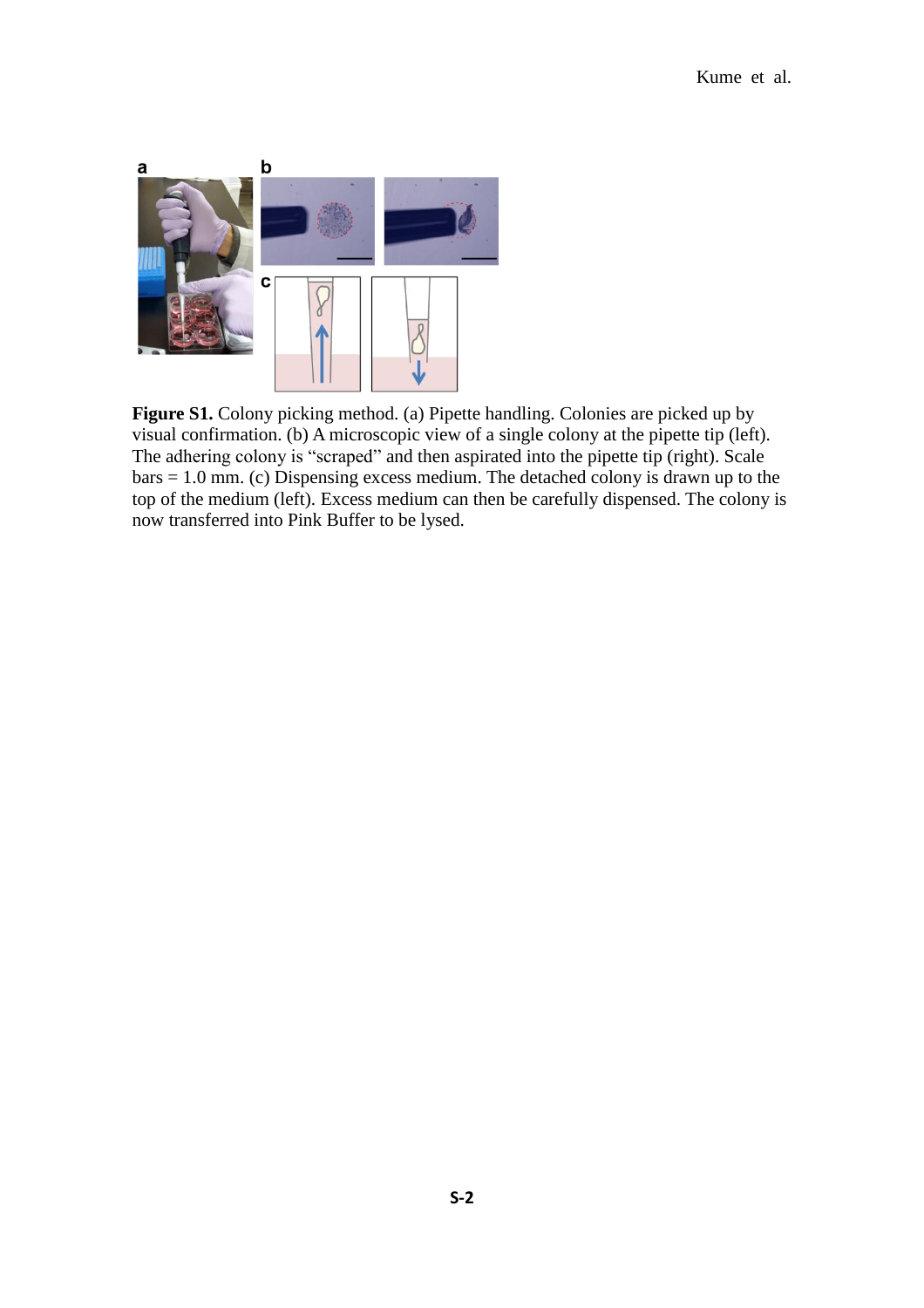

**Figure S1.** Colony picking method. (a) Pipette handling. Colonies are picked up by visual confirmation. (b) A microscopic view of a single colony at the pipette tip (left). The adhering colony is "scraped" and then aspirated into the pipette tip (right). Scale bars = 1.0 mm. (c) Dispensing excess medium. The detached colony is drawn up to the top of the medium (left). Excess medium can then be carefully dispensed. The colony is now transferred into Pink Buffer to be lysed.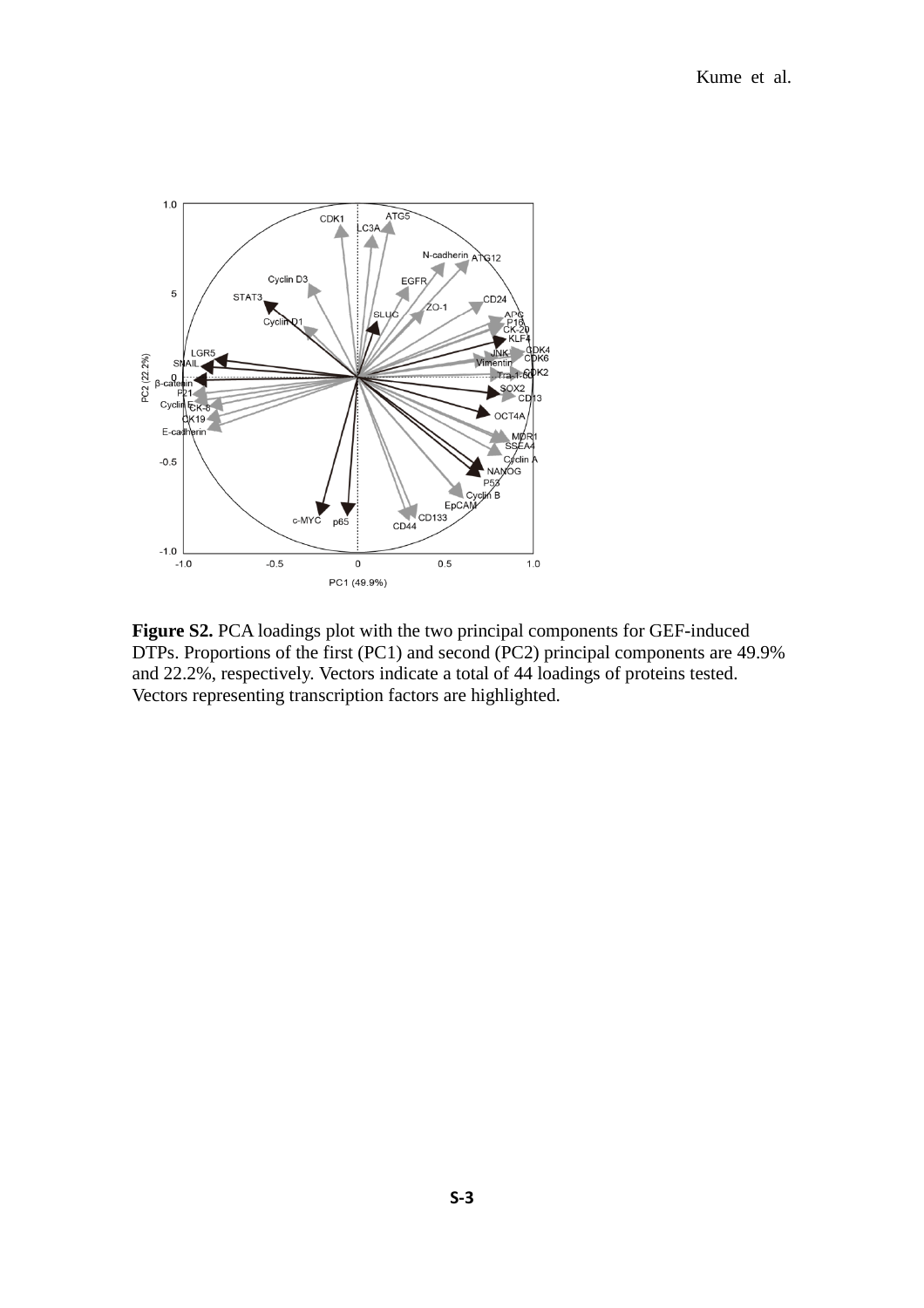

**Figure S2.** PCA loadings plot with the two principal components for GEF-induced DTPs. Proportions of the first (PC1) and second (PC2) principal components are 49.9% and 22.2%, respectively. Vectors indicate a total of 44 loadings of proteins tested. Vectors representing transcription factors are highlighted.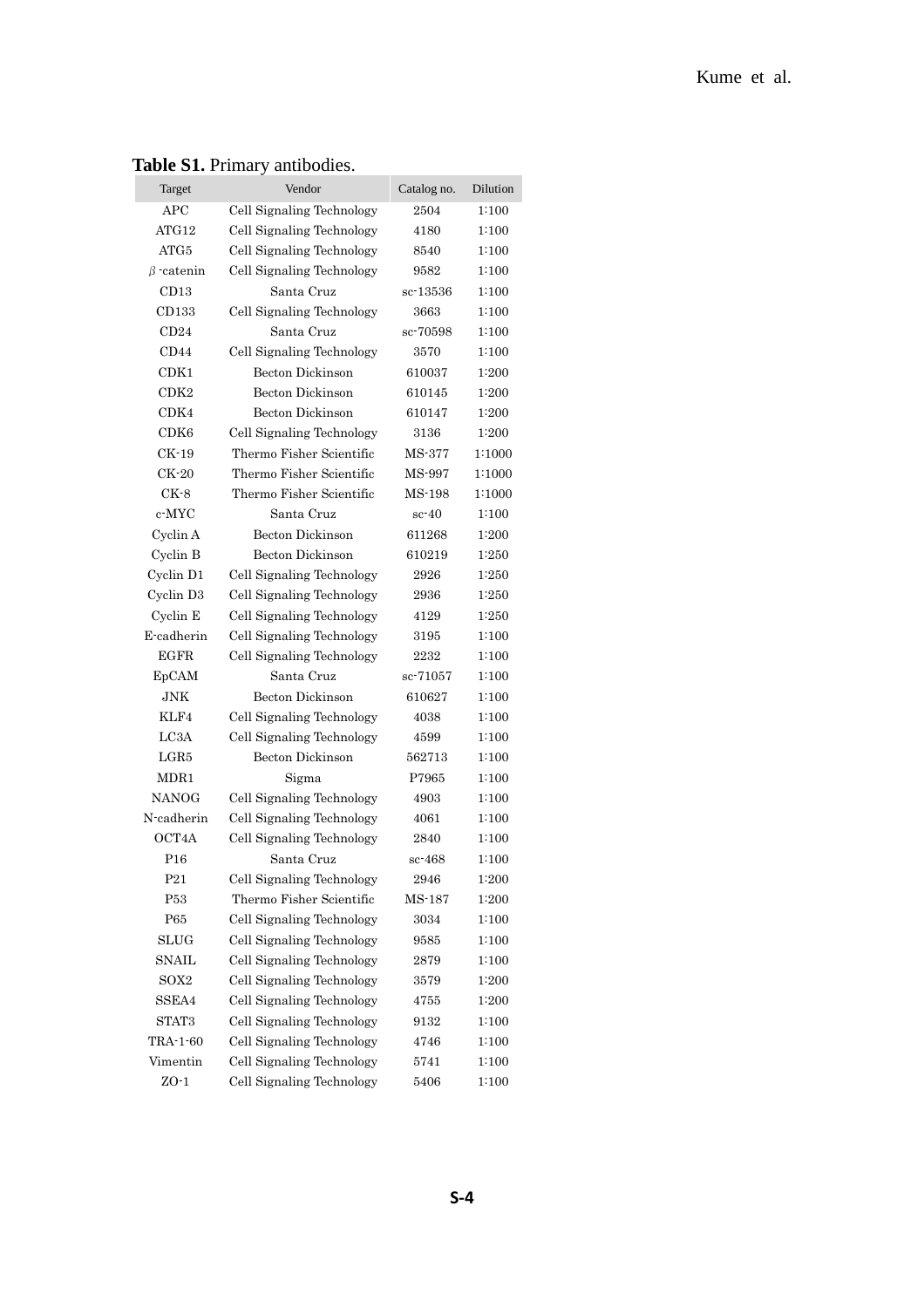| Target           | Vendor                    | Catalog no. | Dilution |
|------------------|---------------------------|-------------|----------|
| APC              | Cell Signaling Technology | 2504        | 1:100    |
| ATG12            | Cell Signaling Technology | 4180        | 1:100    |
| ATG5             | Cell Signaling Technology | 8540        | 1:100    |
| $\beta$ catenin  | Cell Signaling Technology | 9582        | 1:100    |
| CD13             | Santa Cruz                | sc-13536    | 1:100    |
| CD133            | Cell Signaling Technology | 3663        | 1:100    |
| CD24             | Santa Cruz                | sc-70598    | 1:100    |
| CD44             | Cell Signaling Technology | 3570        | 1:100    |
| CDK1             | Becton Dickinson          | 610037      | 1:200    |
| CDK2             | Becton Dickinson          | 610145      | 1:200    |
| CDK4             | <b>Becton Dickinson</b>   | 610147      | 1:200    |
| CDK <sub>6</sub> | Cell Signaling Technology | 3136        | 1:200    |
| CK-19            | Thermo Fisher Scientific  | MS-377      | 1:1000   |
| CK-20            | Thermo Fisher Scientific  | MS-997      | 1:1000   |
| $CK-8$           | Thermo Fisher Scientific  | MS-198      | 1:1000   |
| c-MYC            | Santa Cruz                | $sc-40$     | 1:100    |
| Cyclin A         | Becton Dickinson          | 611268      | 1:200    |
| Cyclin B         | Becton Dickinson          | 610219      | 1:250    |
| Cyclin D1        | Cell Signaling Technology | 2926        | 1:250    |
| Cyclin D3        | Cell Signaling Technology | 2936        | 1:250    |
| Cyclin E         | Cell Signaling Technology | 4129        | 1:250    |
| E-cadherin       | Cell Signaling Technology | 3195        | 1:100    |
| EGFR             | Cell Signaling Technology | 2232        | 1:100    |
| EpCAM            | Santa Cruz                | sc-71057    | 1:100    |
| JNK              | <b>Becton Dickinson</b>   | 610627      | 1:100    |
| KLF4             | Cell Signaling Technology | 4038        | 1:100    |
| LC3A             | Cell Signaling Technology | 4599        | 1:100    |
| $_{\rm LGR5}$    | Becton Dickinson          | 562713      | 1:100    |
| MDR1             | Sigma                     | P7965       | 1:100    |
| <b>NANOG</b>     | Cell Signaling Technology | 4903        | 1:100    |
| N-cadherin       | Cell Signaling Technology | 4061        | 1:100    |
| OCT4A            | Cell Signaling Technology | 2840        | 1:100    |
| P <sub>16</sub>  | Santa Cruz                | $sc-468$    | 1:100    |
| P <sub>21</sub>  | Cell Signaling Technology | 2946        | 1:200    |
| P53              | Thermo Fisher Scientific  | MS-187      | 1:200    |
| P65              | Cell Signaling Technology | 3034        | 1:100    |
| <b>SLUG</b>      | Cell Signaling Technology | 9585        | 1:100    |
| SNAIL            | Cell Signaling Technology | 2879        | 1:100    |
| SOX2             | Cell Signaling Technology | 3579        | 1:200    |
| SSEA4            | Cell Signaling Technology | 4755        | 1:200    |
| STAT3            | Cell Signaling Technology | 9132        | 1:100    |
| TRA-1-60         | Cell Signaling Technology | 4746        | 1:100    |
| Vimentin         | Cell Signaling Technology | 5741        | 1:100    |
| $ZO-1$           | Cell Signaling Technology | 5406        | 1:100    |

## **Table S1.** Primary antibodies.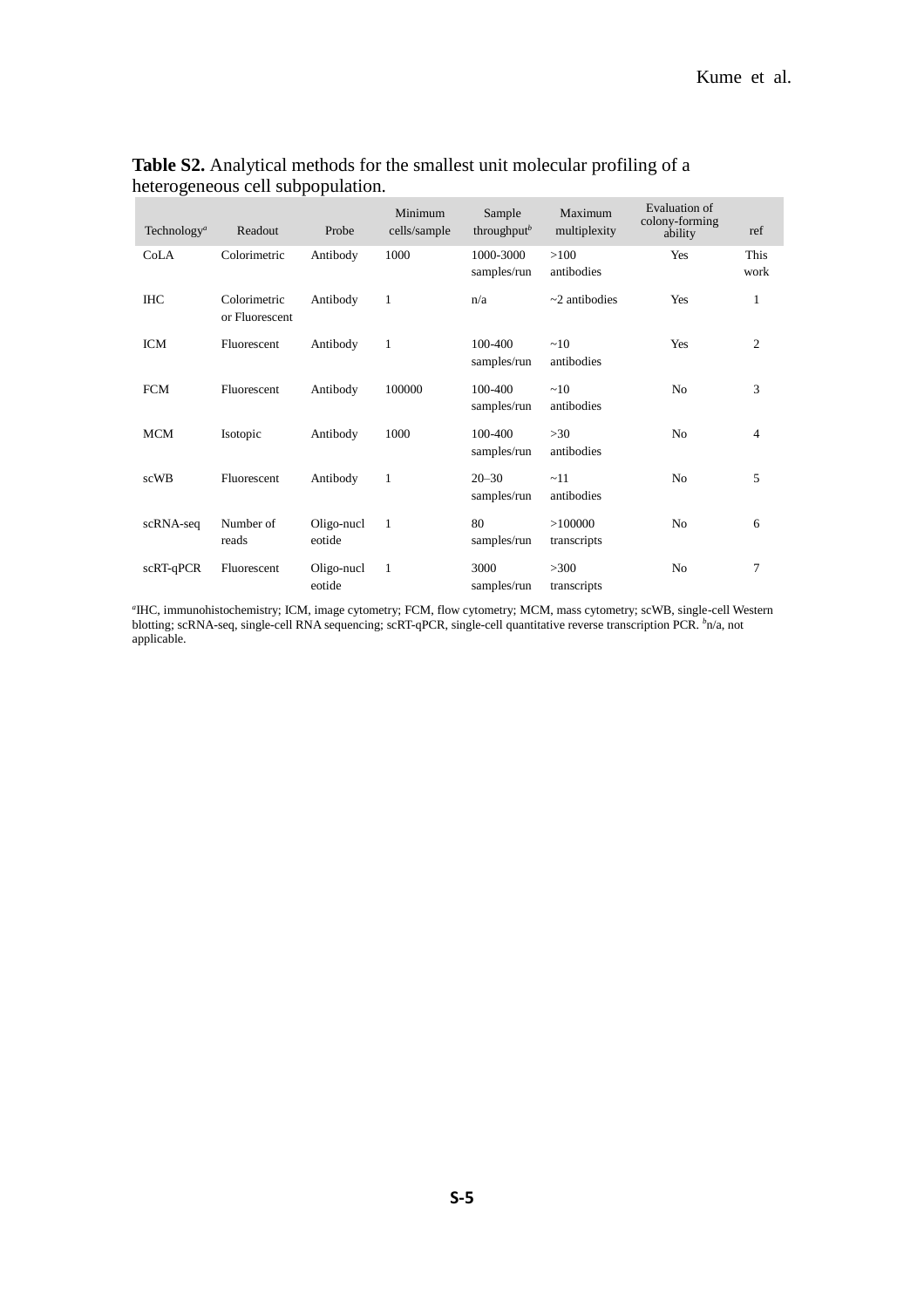| Technology <sup>a</sup> | Readout                        | Probe                | Minimum<br>cells/sample | Sample<br>throughput <sup>b</sup> | Maximum<br>multiplexity | Evaluation of<br>colony-forming<br>ability | ref            |
|-------------------------|--------------------------------|----------------------|-------------------------|-----------------------------------|-------------------------|--------------------------------------------|----------------|
| CoLA                    | Colorimetric                   | Antibody             | 1000                    | 1000-3000<br>samples/run          | >100<br>antibodies      | Yes                                        | This<br>work   |
| <b>IHC</b>              | Colorimetric<br>or Fluorescent | Antibody             | $\mathbf{1}$            | n/a                               | $\sim$ 2 antibodies     | Yes                                        | 1              |
| <b>ICM</b>              | Fluorescent                    | Antibody             | $\mathbf{1}$            | 100-400<br>samples/run            | ~10<br>antibodies       | Yes                                        | $\overline{2}$ |
| <b>FCM</b>              | Fluorescent                    | Antibody             | 100000                  | 100-400<br>samples/run            | ~10<br>antibodies       | N <sub>0</sub>                             | 3              |
| <b>MCM</b>              | Isotopic                       | Antibody             | 1000                    | 100-400<br>samples/run            | >30<br>antibodies       | N <sub>0</sub>                             | $\overline{4}$ |
| scWB                    | Fluorescent                    | Antibody             | 1                       | $20 - 30$<br>samples/run          | ~11<br>antibodies       | N <sub>0</sub>                             | 5              |
| scRNA-seq               | Number of<br>reads             | Oligo-nucl<br>eotide | 1                       | 80<br>samples/run                 | >100000<br>transcripts  | N <sub>0</sub>                             | 6              |
| scRT-qPCR               | Fluorescent                    | Oligo-nucl<br>eotide | $\mathbf{1}$            | 3000<br>samples/run               | >300<br>transcripts     | No                                         | 7              |

### **Table S2.** Analytical methods for the smallest unit molecular profiling of a heterogeneous cell subpopulation.

*a* IHC, immunohistochemistry; ICM, image cytometry; FCM, flow cytometry; MCM, mass cytometry; scWB, single-cell Western blotting; scRNA-seq, single-cell RNA sequencing; scRT-qPCR, single-cell quantitative reverse transcription PCR. *<sup>b</sup>*n/a, not applicable.